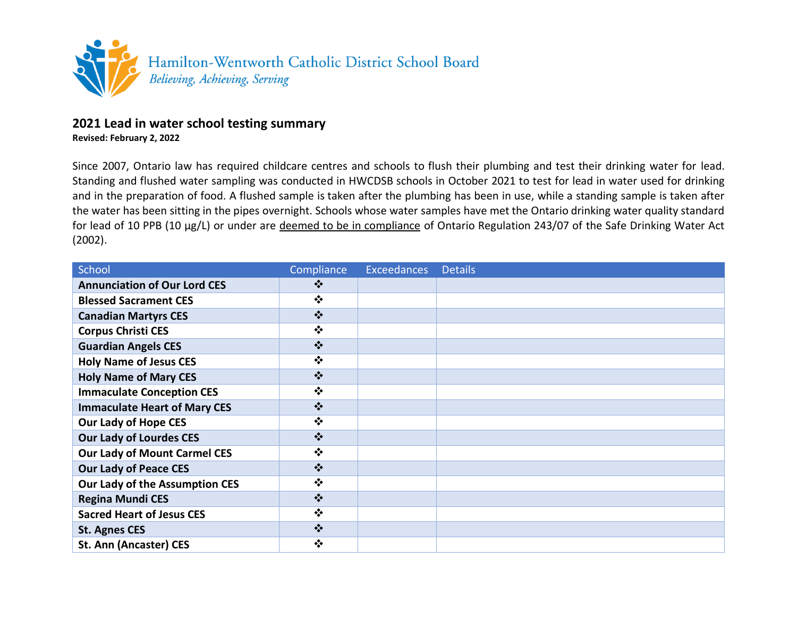

## **2021 Lead in water school testing summary**

**Revised: February 2, 2022**

Since 2007, Ontario law has required childcare centres and schools to flush their plumbing and test their drinking water for lead. Standing and flushed water sampling was conducted in HWCDSB schools in October 2021 to test for lead in water used for drinking and in the preparation of food. A flushed sample is taken after the plumbing has been in use, while a standing sample is taken after the water has been sitting in the pipes overnight. Schools whose water samples have met the Ontario drinking water quality standard for lead of 10 PPB (10 µg/L) or under are deemed to be in compliance of Ontario Regulation 243/07 of the Safe Drinking Water Act (2002).

| School                              | Compliance                            | <b>Exceedances</b> | <b>Details</b> |
|-------------------------------------|---------------------------------------|--------------------|----------------|
| <b>Annunciation of Our Lord CES</b> | ❖                                     |                    |                |
| <b>Blessed Sacrament CES</b>        | $\bullet \bullet$                     |                    |                |
| <b>Canadian Martyrs CES</b>         | $\bullet^{\bullet}_{\Phi}$            |                    |                |
| <b>Corpus Christi CES</b>           | $\bullet^{\bullet}_{\bullet}$         |                    |                |
| <b>Guardian Angels CES</b>          | $\frac{1}{2}$                         |                    |                |
| <b>Holy Name of Jesus CES</b>       | $\bullet \bullet$                     |                    |                |
| <b>Holy Name of Mary CES</b>        | $\bullet^{\bullet}_{\Phi}$            |                    |                |
| <b>Immaculate Conception CES</b>    | $\bullet \bullet$                     |                    |                |
| <b>Immaculate Heart of Mary CES</b> | $\bullet^{\bullet}_{\bullet} \bullet$ |                    |                |
| <b>Our Lady of Hope CES</b>         | $\bullet^{\bullet}_{\bullet} \bullet$ |                    |                |
| <b>Our Lady of Lourdes CES</b>      | $\bullet^{\bullet}_{\bullet} \bullet$ |                    |                |
| <b>Our Lady of Mount Carmel CES</b> | $\bullet$                             |                    |                |
| <b>Our Lady of Peace CES</b>        | $\bullet^{\bullet}_{\bullet} \bullet$ |                    |                |
| Our Lady of the Assumption CES      | $\bullet \bullet$                     |                    |                |
| <b>Regina Mundi CES</b>             | $\bullet^{\bullet}_{\Phi}$            |                    |                |
| <b>Sacred Heart of Jesus CES</b>    | ❖                                     |                    |                |
| <b>St. Agnes CES</b>                | $\bullet^{\bullet}_{\bullet} \bullet$ |                    |                |
| <b>St. Ann (Ancaster) CES</b>       | $\bullet^{\bullet}_{\bullet} \bullet$ |                    |                |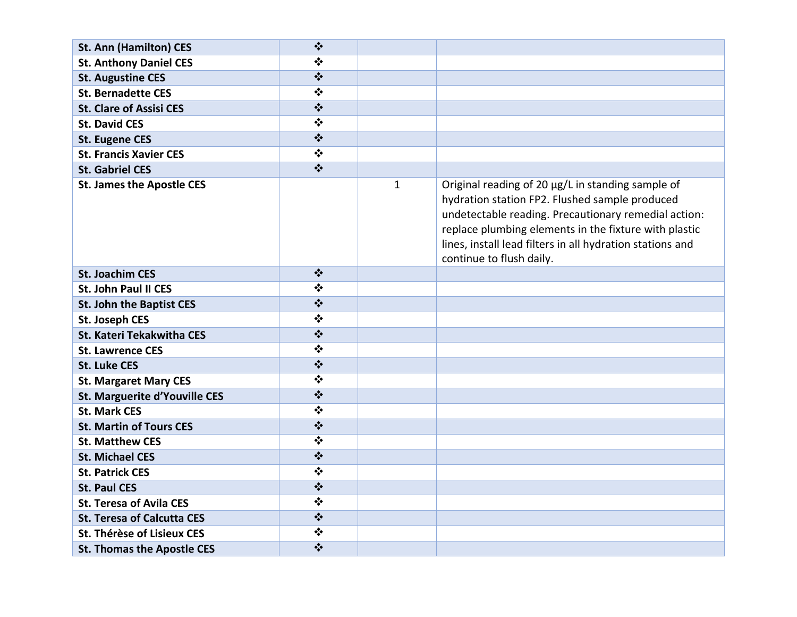| <b>St. Ann (Hamilton) CES</b>        | $\bullet^{\bullet}_{\bullet} \bullet$ |              |                                                                                                                                                                                                                                                                                                               |
|--------------------------------------|---------------------------------------|--------------|---------------------------------------------------------------------------------------------------------------------------------------------------------------------------------------------------------------------------------------------------------------------------------------------------------------|
| <b>St. Anthony Daniel CES</b>        | $\bullet^{\bullet}_{\bullet} \bullet$ |              |                                                                                                                                                                                                                                                                                                               |
| <b>St. Augustine CES</b>             | $\bullet^{\bullet}_{\bullet}$         |              |                                                                                                                                                                                                                                                                                                               |
| <b>St. Bernadette CES</b>            | $\bullet^{\bullet}_{\bullet} \bullet$ |              |                                                                                                                                                                                                                                                                                                               |
| <b>St. Clare of Assisi CES</b>       | $\bullet^{\bullet}_{\bullet}$         |              |                                                                                                                                                                                                                                                                                                               |
| <b>St. David CES</b>                 | $\bullet^{\bullet}_{\bullet} \bullet$ |              |                                                                                                                                                                                                                                                                                                               |
| <b>St. Eugene CES</b>                | $\star^*_{\bullet}\!\star$            |              |                                                                                                                                                                                                                                                                                                               |
| <b>St. Francis Xavier CES</b>        | $\bullet^{\bullet}_{\bullet} \bullet$ |              |                                                                                                                                                                                                                                                                                                               |
| <b>St. Gabriel CES</b>               | $\bullet^*_{\bullet}\bullet$          |              |                                                                                                                                                                                                                                                                                                               |
| <b>St. James the Apostle CES</b>     |                                       | $\mathbf{1}$ | Original reading of 20 µg/L in standing sample of<br>hydration station FP2. Flushed sample produced<br>undetectable reading. Precautionary remedial action:<br>replace plumbing elements in the fixture with plastic<br>lines, install lead filters in all hydration stations and<br>continue to flush daily. |
| <b>St. Joachim CES</b>               | $\bullet^{\bullet}_{\bullet} \bullet$ |              |                                                                                                                                                                                                                                                                                                               |
| <b>St. John Paul II CES</b>          | $\bullet^{\bullet}_{\bullet} \bullet$ |              |                                                                                                                                                                                                                                                                                                               |
| St. John the Baptist CES             | $\bullet^{\bullet}_{\bullet}$         |              |                                                                                                                                                                                                                                                                                                               |
| <b>St. Joseph CES</b>                | $\bullet^{\bullet}_{\bullet} \bullet$ |              |                                                                                                                                                                                                                                                                                                               |
| St. Kateri Tekakwitha CES            | $\star^*_{\bullet}$                   |              |                                                                                                                                                                                                                                                                                                               |
| <b>St. Lawrence CES</b>              | $\bullet^{\bullet}_{\bullet} \bullet$ |              |                                                                                                                                                                                                                                                                                                               |
| <b>St. Luke CES</b>                  | $\bullet^{\bullet}_{\bullet} \bullet$ |              |                                                                                                                                                                                                                                                                                                               |
| <b>St. Margaret Mary CES</b>         | $\bullet^{\bullet}_{\Phi}$            |              |                                                                                                                                                                                                                                                                                                               |
| <b>St. Marguerite d'Youville CES</b> | $\star^*_{\bullet}$                   |              |                                                                                                                                                                                                                                                                                                               |
| <b>St. Mark CES</b>                  | $\bullet$                             |              |                                                                                                                                                                                                                                                                                                               |
| <b>St. Martin of Tours CES</b>       | $\bullet^{\bullet}_{\bullet} \bullet$ |              |                                                                                                                                                                                                                                                                                                               |
| <b>St. Matthew CES</b>               | $\bullet^{\bullet}_{\bullet} \bullet$ |              |                                                                                                                                                                                                                                                                                                               |
| <b>St. Michael CES</b>               | $\star^*_{\bullet}$                   |              |                                                                                                                                                                                                                                                                                                               |
| <b>St. Patrick CES</b>               | $\bullet^{\bullet}_{\bullet} \bullet$ |              |                                                                                                                                                                                                                                                                                                               |
| <b>St. Paul CES</b>                  | $\bullet^{\bullet}_{\bullet} \bullet$ |              |                                                                                                                                                                                                                                                                                                               |
| <b>St. Teresa of Avila CES</b>       | $\bullet^{\bullet}_{\bullet} \bullet$ |              |                                                                                                                                                                                                                                                                                                               |
| <b>St. Teresa of Calcutta CES</b>    | $\bullet^{\bullet}_{\bullet}\bullet$  |              |                                                                                                                                                                                                                                                                                                               |
| <b>St. Thérèse of Lisieux CES</b>    | $\bullet$                             |              |                                                                                                                                                                                                                                                                                                               |
| <b>St. Thomas the Apostle CES</b>    | $\bullet^{\bullet}_{\bullet} \bullet$ |              |                                                                                                                                                                                                                                                                                                               |